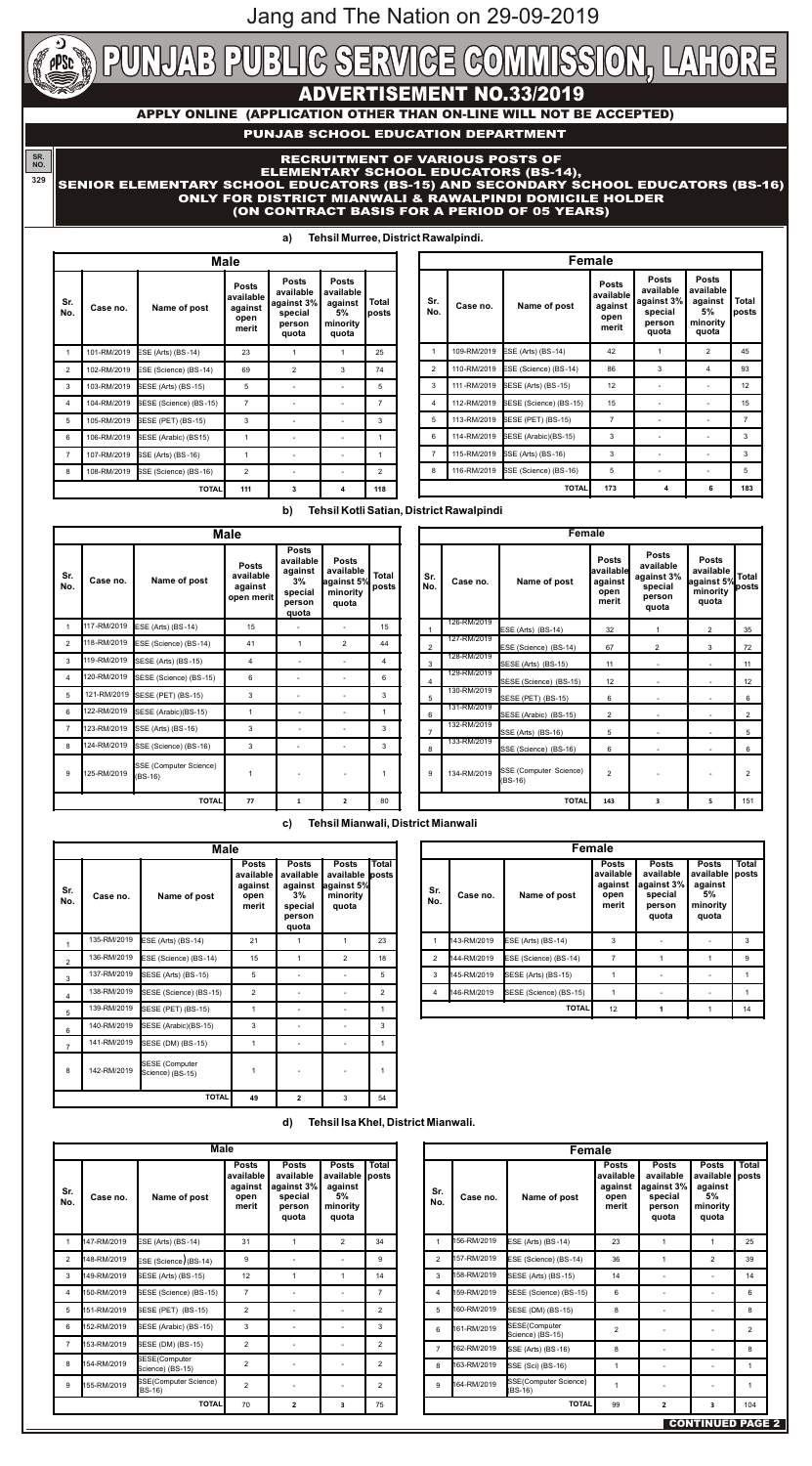# **ADVERTISEMENT NO.33/2019**

**APPLY ONLINE (APPLICATION OTHER THAN ON-LINE WILL NOT BE ACCEPTED)**

**a) Tehsil Murree, District Rawalpindi.**

**b) Tehsil Kotli Satian, District Rawalpindi**

## **c) Tehsil Mianwali, District Mianwali**

**d) Tehsil Isa Khel, District Mianwali.**

## **PUNJAB SCHOOL EDUCATION DEPARTMENT**

#### **SR. NO. 329** RECRUITMENT OF VARIOUS POSTS OF ELEMENTARY SCHOOL EDUCATORS (BS-14), SENIOR ELEMENTARY SCHOOL EDUCATORS (BS-15) AND SECONDARY SCHOOL EDUCATORS (BS-16) ONLY FOR DISTRICT MIANWALI & RAWALPINDI DOMICILE HOLDER (ON CONTRACT BASIS FOR A PERIOD OF 05 YEARS)

|                | <b>Male</b> |                        |                                                       |                                                                       |                                                                 |                |  |  |  |
|----------------|-------------|------------------------|-------------------------------------------------------|-----------------------------------------------------------------------|-----------------------------------------------------------------|----------------|--|--|--|
| Sr.<br>No.     | Case no.    | Name of post           | <b>Posts</b><br>available<br>against<br>open<br>merit | <b>Posts</b><br>available<br>against 3%<br>special<br>person<br>quota | <b>Posts</b><br>available<br>against<br>5%<br>minority<br>quota | Total<br>posts |  |  |  |
| $\mathbf{1}$   | 101-RM/2019 | ESE (Arts) (BS-14)     | 23                                                    | 1                                                                     | 1                                                               | 25             |  |  |  |
| 2              | 102-RM/2019 | ESE (Science) (BS-14)  | 69                                                    | 2                                                                     | 3                                                               | 74             |  |  |  |
| 3              | 103-RM/2019 | SESE (Arts) (BS-15)    | 5                                                     |                                                                       |                                                                 | 5              |  |  |  |
| 4              | 104-RM/2019 | SESE (Science) (BS-15) | $\overline{7}$                                        |                                                                       |                                                                 | $\overline{7}$ |  |  |  |
| 5              | 105-RM/2019 | SESE (PET) (BS-15)     | 3                                                     |                                                                       |                                                                 | 3              |  |  |  |
| 6              | 106-RM/2019 | SESE (Arabic) (BS15)   | 1                                                     |                                                                       |                                                                 | 1              |  |  |  |
| $\overline{7}$ | 107-RM/2019 | SSE (Arts) (BS-16)     | 1                                                     |                                                                       |                                                                 | 1              |  |  |  |
| 8              | 108-RM/2019 | SSE (Science) (BS-16)  | 2                                                     |                                                                       |                                                                 | $\mathcal{P}$  |  |  |  |
|                |             | <b>TOTAL</b>           | 111                                                   | 3                                                                     | 4                                                               | 118            |  |  |  |

|            | <b>Female</b> |                           |                                                       |                                                                       |                                                                 |                |  |  |  |  |
|------------|---------------|---------------------------|-------------------------------------------------------|-----------------------------------------------------------------------|-----------------------------------------------------------------|----------------|--|--|--|--|
| Sr.<br>No. | Case no.      | Name of post              | <b>Posts</b><br>available<br>against<br>open<br>merit | <b>Posts</b><br>available<br>against 3%<br>special<br>person<br>quota | <b>Posts</b><br>available<br>against<br>5%<br>minority<br>quota | Total<br>posts |  |  |  |  |
| 1          | 109-RM/2019   | <b>ESE (Arts) (BS-14)</b> | 42                                                    | 1                                                                     | 2                                                               | 45             |  |  |  |  |
| 2          | 110-RM/2019   | ESE (Science) (BS-14)     | 86                                                    | 3                                                                     | 4                                                               | 93             |  |  |  |  |
| 3          | 111-RM/2019   | SESE (Arts) (BS-15)       | 12                                                    |                                                                       |                                                                 | 12             |  |  |  |  |
| 4          | 112-RM/2019   | SESE (Science) (BS-15)    | 15                                                    |                                                                       |                                                                 | 15             |  |  |  |  |
| 5          | 113-RM/2019   | SESE (PET) (BS-15)        | $\overline{7}$                                        |                                                                       |                                                                 | $\overline{7}$ |  |  |  |  |
| 6          | 114-RM/2019   | SESE (Arabic)(BS-15)      | 3                                                     |                                                                       |                                                                 | 3              |  |  |  |  |
| 7          | 115-RM/2019   | SSE (Arts) (BS-16)        | 3                                                     |                                                                       |                                                                 | 3              |  |  |  |  |
| 8          | 116-RM/2019   | SSE (Science) (BS-16)     | 5                                                     |                                                                       |                                                                 | 5              |  |  |  |  |
|            |               | <b>TOTAL</b>              | 173                                                   | 4                                                                     | 6                                                               | 183            |  |  |  |  |

|                |             |                                     | <b>Male</b>                                        |                                                                          |                                                              |                       |                |         |
|----------------|-------------|-------------------------------------|----------------------------------------------------|--------------------------------------------------------------------------|--------------------------------------------------------------|-----------------------|----------------|---------|
| Sr.<br>No.     | Case no.    | Name of post                        | <b>Posts</b><br>available<br>against<br>open merit | <b>Posts</b><br>available<br>against<br>3%<br>special<br>person<br>quota | <b>Posts</b><br>available<br>against 5%<br>minority<br>quota | <b>Total</b><br>posts | Sr.<br>No.     | Case    |
| $\mathbf{1}$   | 117-RM/2019 | ESE (Arts) (BS-14)                  | 15                                                 |                                                                          |                                                              | 15                    | $\mathbf{1}$   | 126-RM/ |
| $\overline{2}$ | 118-RM/2019 | ESE (Science) (BS-14)               | 41                                                 | 1                                                                        | 2                                                            | 44                    | $\overline{2}$ | 127-RM/ |
| 3              | 119-RM/2019 | SESE (Arts) (BS-15)                 | 4                                                  |                                                                          |                                                              | 4                     | 3              | 128-RM/ |
| 4              | 120-RM/2019 | SESE (Science) (BS-15)              | 6                                                  |                                                                          |                                                              | 6                     | $\overline{4}$ | 129-RM/ |
| 5              | 121-RM/2019 | SESE (PET) (BS-15)                  | 3                                                  |                                                                          |                                                              | 3                     | 5              | 130-RM/ |
| 6              | 122-RM/2019 | SESE (Arabic)(BS-15)                | 1                                                  |                                                                          |                                                              | 1                     | 6              | 131-RM/ |
| $\overline{7}$ | 123-RM/2019 | SSE (Arts) (BS-16)                  | 3                                                  |                                                                          |                                                              | 3                     | $\overline{7}$ | 132-RM/ |
| 8              | 124-RM/2019 | SSE (Science) (BS-16)               | 3                                                  |                                                                          |                                                              | 3                     | 8              | 133-RM/ |
| 9              | 125-RM/2019 | SSE (Computer Science)<br>$(BS-16)$ | 1                                                  |                                                                          |                                                              | 1                     | 9              | 134-RM/ |
|                |             | <b>TOTAL</b>                        | 77                                                 | $\mathbf{1}$                                                             | 2                                                            | 80                    |                |         |

|                | <b>Female</b> |                                     |                                                       |                                                                       |                                                              |                |  |  |  |  |
|----------------|---------------|-------------------------------------|-------------------------------------------------------|-----------------------------------------------------------------------|--------------------------------------------------------------|----------------|--|--|--|--|
| Sr.<br>No.     | Case no.      | Name of post                        | <b>Posts</b><br>available<br>against<br>open<br>merit | <b>Posts</b><br>available<br>against 3%<br>special<br>person<br>quota | <b>Posts</b><br>available<br>against 5%<br>minority<br>quota | Total<br>posts |  |  |  |  |
| 1              | 126-RM/2019   | ESE (Arts) (BS-14)                  | 32                                                    | 1                                                                     | 2                                                            | 35             |  |  |  |  |
| 2              | 127-RM/2019   | ESE (Science) (BS-14)               | 67                                                    | 2                                                                     | 3                                                            | 72             |  |  |  |  |
| 3              | 128-RM/2019   | SESE (Arts) (BS-15)                 | 11                                                    |                                                                       |                                                              | 11             |  |  |  |  |
| 4              | 129-RM/2019   | SESE (Science) (BS-15)              | 12                                                    |                                                                       |                                                              | 12             |  |  |  |  |
| 5              | 130-RM/2019   | <b>SESE (PET) (BS-15)</b>           | 6                                                     |                                                                       |                                                              | 6              |  |  |  |  |
| 6              | 131-RM/2019   | SESE (Arabic) (BS-15)               | $\overline{2}$                                        |                                                                       |                                                              | $\overline{2}$ |  |  |  |  |
| $\overline{7}$ | 132-RM/2019   | SSE (Arts) (BS-16)                  | 5                                                     |                                                                       |                                                              | 5              |  |  |  |  |
| 8              | 133-RM/2019   | SSE (Science) (BS-16)               | 6                                                     |                                                                       |                                                              | 6              |  |  |  |  |
| 9              | 134-RM/2019   | SSE (Computer Science)<br>$(BS-16)$ | $\mathfrak{p}$                                        |                                                                       |                                                              | $\overline{2}$ |  |  |  |  |
|                |               | <b>TOTAL</b>                        | 143                                                   | 3                                                                     | 5                                                            | 151            |  |  |  |  |

| <b>Female</b>  |             |                                   |                                                       |                                                                       |                                                                 |                       |  |  |
|----------------|-------------|-----------------------------------|-------------------------------------------------------|-----------------------------------------------------------------------|-----------------------------------------------------------------|-----------------------|--|--|
| Sr.<br>No.     | Case no.    | Name of post                      | <b>Posts</b><br>available<br>against<br>open<br>merit | <b>Posts</b><br>available<br>against 3%<br>special<br>person<br>quota | <b>Posts</b><br>available<br>against<br>5%<br>minority<br>quota | <b>Total</b><br>posts |  |  |
| $\mathbf{1}$   | 156-RM/2019 | ESE (Arts) (BS-14)                | 23                                                    | 1                                                                     | $\mathbf{1}$                                                    | 25                    |  |  |
| 2              | 157-RM/2019 | ESE (Science) (BS-14)             | 36                                                    | 1                                                                     | 2                                                               | 39                    |  |  |
| 3              | 158-RM/2019 | SESE (Arts) (BS-15)               | 14                                                    |                                                                       |                                                                 | 14                    |  |  |
| 4              | 159-RM/2019 | SESE (Science) (BS-15)            | 6                                                     |                                                                       |                                                                 | 6                     |  |  |
| 5              | 160-RM/2019 | SESE (DM) (BS-15)                 | 8                                                     |                                                                       |                                                                 | 8                     |  |  |
| 6              | 161-RM/2019 | SESE(Computer<br>Science) (BS-15) | 2                                                     |                                                                       |                                                                 | 2                     |  |  |
| $\overline{7}$ | 162-RM/2019 | SSE (Arts) (BS-16)                | 8                                                     |                                                                       |                                                                 | 8                     |  |  |
| 8              | 163-RM/2019 | SSE (Sci) (BS-16)                 | 1                                                     |                                                                       |                                                                 | 1                     |  |  |
| 9              | 164-RM/2019 | SSE(Computer Science)<br>(BS-16)  | 1                                                     |                                                                       |                                                                 | 1                     |  |  |
|                |             | <b>TOTAL</b>                      | 99                                                    | $\mathbf{2}$                                                          | 3                                                               | 104                   |  |  |

|                | <b>Male</b>  |                                           |                                                       |                                                                             |                                                              |                       |  |  |  |
|----------------|--------------|-------------------------------------------|-------------------------------------------------------|-----------------------------------------------------------------------------|--------------------------------------------------------------|-----------------------|--|--|--|
| Sr.<br>No.     | Case no.     | Name of post                              | <b>Posts</b><br>available<br>against<br>open<br>merit | <b>Posts</b><br>available<br>against<br>$3\%$<br>special<br>person<br>quota | <b>Posts</b><br>available<br>against 5%<br>minority<br>quota | <b>Total</b><br>posts |  |  |  |
| 1              | 135-RM/2019  | ESE (Arts) (BS-14)                        | 21                                                    | 1                                                                           | 1                                                            | 23                    |  |  |  |
| $\mathfrak{p}$ | 136-RM/2019  | ESE (Science) (BS-14)                     | 15                                                    | 1                                                                           | $\mathfrak{p}$                                               | 18                    |  |  |  |
| 3              | 137-RM/2019  | SESE (Arts) (BS-15)                       | 5                                                     |                                                                             |                                                              | 5                     |  |  |  |
| 4              | 138-RM/2019  | SESE (Science) (BS-15)                    | $\overline{2}$                                        |                                                                             |                                                              | 2                     |  |  |  |
| 5              | 139-RM/2019  | SESE (PET) (BS-15)                        | $\mathbf{1}$                                          |                                                                             |                                                              | 1                     |  |  |  |
| 6              | 140-RM/2019  | SESE (Arabic)(BS-15)                      | 3                                                     |                                                                             |                                                              | 3                     |  |  |  |
| $\overline{7}$ | 141-RM/2019  | SESE (DM) (BS-15)                         | 1                                                     |                                                                             |                                                              | 1                     |  |  |  |
| 8              | 142-RM/2019  | <b>SESE</b> (Computer<br>Science) (BS-15) | 1                                                     |                                                                             |                                                              | 1                     |  |  |  |
|                | <b>TOTAL</b> |                                           |                                                       | $\mathbf{2}$                                                                | 3                                                            | 54                    |  |  |  |

|                | <b>Female</b> |                        |                                                       |                                                                       |                                                                 |                       |  |  |  |
|----------------|---------------|------------------------|-------------------------------------------------------|-----------------------------------------------------------------------|-----------------------------------------------------------------|-----------------------|--|--|--|
| Sr.<br>No.     | Case no.      | Name of post           | <b>Posts</b><br>available<br>against<br>open<br>merit | <b>Posts</b><br>available<br>against 3%<br>special<br>person<br>quota | <b>Posts</b><br>available<br>against<br>5%<br>minority<br>quota | <b>Total</b><br>posts |  |  |  |
| 1              | 143-RM/2019   | $ESE$ (Arts) (BS-14)   | 3                                                     |                                                                       |                                                                 | 3                     |  |  |  |
| 2              | 144-RM/2019   | ESE (Science) (BS-14)  | 7                                                     |                                                                       |                                                                 | 9                     |  |  |  |
| 3              | 145-RM/2019   | SESE (Arts) (BS-15)    |                                                       |                                                                       |                                                                 |                       |  |  |  |
| $\overline{4}$ | 146-RM/2019   | SESE (Science) (BS-15) |                                                       |                                                                       |                                                                 |                       |  |  |  |
|                |               | <b>TOTAL</b>           | 12                                                    |                                                                       |                                                                 | 14                    |  |  |  |

| <b>Total</b><br><b>Posts</b><br><b>Posts</b><br><b>Posts</b><br>available<br>available<br>available<br>posts<br>against 3%<br>against<br>against<br>Sr.<br>5%<br>special<br>Name of post<br>Case no.<br>open<br>No.<br>merit<br>minority<br>person<br>quota<br>quota<br>$\mathbf{1}$<br>2<br>147-RM/2019<br>ESE (Arts) (BS-14)<br>31<br>1<br>34<br>2<br>9<br>148-RM/2019<br>9<br>$ESE$ (Science)(BS-14)<br>3<br>SESE (Arts) (BS-15)<br>12<br>149-RM/2019<br>1<br>1<br>14<br>$\overline{7}$<br>150-RM/2019<br>SESE (Science) (BS-15)<br>$\overline{7}$<br>4<br>5<br>$\mathcal{P}$<br>151-RM/2019<br>SESE (PET) (BS-15)<br>2<br>6<br>3<br>3<br>152-RM/2019<br>SESE (Arabic) (BS-15)<br>$\overline{7}$<br>$\overline{2}$<br>$\overline{2}$<br>153-RM/2019<br>SESE (DM) (BS-15)<br>SESE(Computer<br>8<br>2<br>154-RM/2019<br>2<br>Science) (BS-15)<br>SSE(Computer Science)<br>9<br>$\mathcal{P}$<br>155-RM/2019<br>2<br>(BS-16)<br><b>TOTAL</b><br>$\overline{2}$<br>70<br>75<br>3 | <b>Male</b> |  |  |  |  |  |  |  |
|---------------------------------------------------------------------------------------------------------------------------------------------------------------------------------------------------------------------------------------------------------------------------------------------------------------------------------------------------------------------------------------------------------------------------------------------------------------------------------------------------------------------------------------------------------------------------------------------------------------------------------------------------------------------------------------------------------------------------------------------------------------------------------------------------------------------------------------------------------------------------------------------------------------------------------------------------------------------------------|-------------|--|--|--|--|--|--|--|
|                                                                                                                                                                                                                                                                                                                                                                                                                                                                                                                                                                                                                                                                                                                                                                                                                                                                                                                                                                                 |             |  |  |  |  |  |  |  |
|                                                                                                                                                                                                                                                                                                                                                                                                                                                                                                                                                                                                                                                                                                                                                                                                                                                                                                                                                                                 |             |  |  |  |  |  |  |  |
|                                                                                                                                                                                                                                                                                                                                                                                                                                                                                                                                                                                                                                                                                                                                                                                                                                                                                                                                                                                 |             |  |  |  |  |  |  |  |
|                                                                                                                                                                                                                                                                                                                                                                                                                                                                                                                                                                                                                                                                                                                                                                                                                                                                                                                                                                                 |             |  |  |  |  |  |  |  |
|                                                                                                                                                                                                                                                                                                                                                                                                                                                                                                                                                                                                                                                                                                                                                                                                                                                                                                                                                                                 |             |  |  |  |  |  |  |  |
|                                                                                                                                                                                                                                                                                                                                                                                                                                                                                                                                                                                                                                                                                                                                                                                                                                                                                                                                                                                 |             |  |  |  |  |  |  |  |
|                                                                                                                                                                                                                                                                                                                                                                                                                                                                                                                                                                                                                                                                                                                                                                                                                                                                                                                                                                                 |             |  |  |  |  |  |  |  |
|                                                                                                                                                                                                                                                                                                                                                                                                                                                                                                                                                                                                                                                                                                                                                                                                                                                                                                                                                                                 |             |  |  |  |  |  |  |  |
|                                                                                                                                                                                                                                                                                                                                                                                                                                                                                                                                                                                                                                                                                                                                                                                                                                                                                                                                                                                 |             |  |  |  |  |  |  |  |
|                                                                                                                                                                                                                                                                                                                                                                                                                                                                                                                                                                                                                                                                                                                                                                                                                                                                                                                                                                                 |             |  |  |  |  |  |  |  |
|                                                                                                                                                                                                                                                                                                                                                                                                                                                                                                                                                                                                                                                                                                                                                                                                                                                                                                                                                                                 |             |  |  |  |  |  |  |  |

Jang and The Nation on 29-09-2019



# LAB PUBLIC SERVICE COMMISSION, LAHORE  $\overline{P}$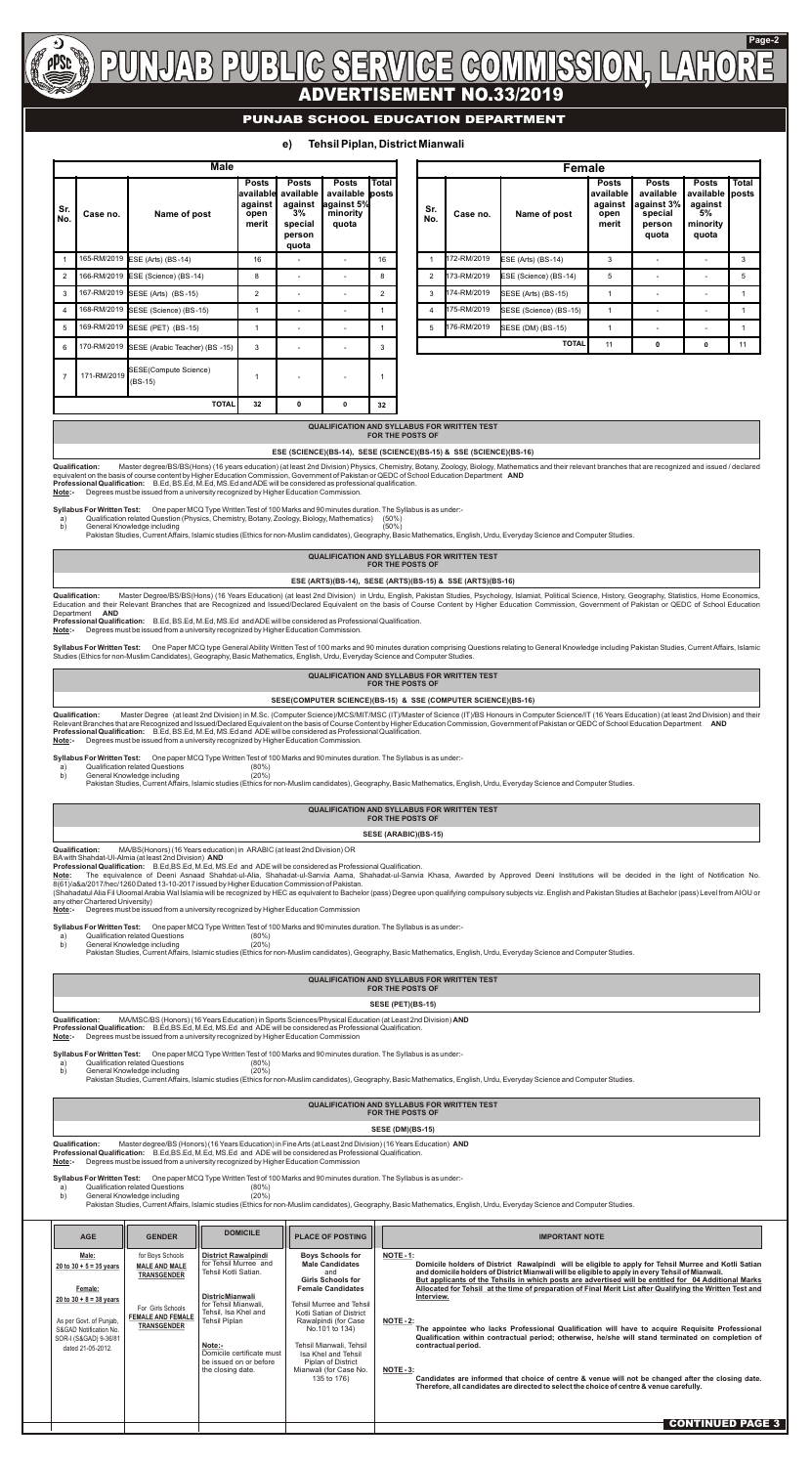

#### **Page-2**  $\left| \frac{P}{P}\right|$  $\left| \left| \right| \right| \left| \right| \left| \right| \left| \right| \left| \right| \left| \right| \left| \right| \left| \right| \left| \right| \left| \right| \left| \right| \left| \right| \left| \right| \left| \right| \left| \right| \left| \right| \left| \right| \left| \right| \left| \right| \left| \right| \left| \right| \left| \right| \left| \right| \left| \right| \left| \right| \left| \right| \left| \right| \left| \right| \left| \right| \left| \right| \left| \right| \left| \right| \left| \right| \left| \right| \left| \right| \left| \$  $\mathcal{C}$  $\mathbb{C}[\mathbb{0}]$ ADVERTISEMENT NO.33/2019

| e) |  |  |  | <b>Tehsil Piplan, District Mianwali</b> |
|----|--|--|--|-----------------------------------------|
|----|--|--|--|-----------------------------------------|

### **PUNJAB SCHOOL EDUCATION DEPARTMENT**

|                | <b>Male</b> |                                    |                                                       |                                                                             |                                                              |                       |  |  |
|----------------|-------------|------------------------------------|-------------------------------------------------------|-----------------------------------------------------------------------------|--------------------------------------------------------------|-----------------------|--|--|
| Sr.<br>No.     | Case no.    | Name of post                       | <b>Posts</b><br>available<br>against<br>open<br>merit | <b>Posts</b><br>available<br>against<br>$3\%$<br>special<br>person<br>quota | <b>Posts</b><br>available<br>against 5%<br>minority<br>quota | <b>Total</b><br>posts |  |  |
| $\mathbf{1}$   | 165-RM/2019 | ESE (Arts) (BS-14)                 | 16                                                    |                                                                             |                                                              | 16                    |  |  |
| $\mathcal{P}$  |             | 166-RM/2019 ESE (Science) (BS-14)  | 8                                                     |                                                                             |                                                              | 8                     |  |  |
| 3              | 167-RM/2019 | SESE (Arts) (BS-15)                | 2                                                     |                                                                             |                                                              | $\overline{2}$        |  |  |
| 4              |             | 168-RM/2019 SESE (Science) (BS-15) | 1                                                     |                                                                             |                                                              | 1                     |  |  |
| 5              | 169-RM/2019 | SESE (PET) (BS-15)                 | 1                                                     |                                                                             |                                                              | 1                     |  |  |
| 6              | 170-RM/2019 | SESE (Arabic Teacher) (BS -15)     | 3                                                     |                                                                             |                                                              | 3                     |  |  |
| $\overline{7}$ | 171-RM/2019 | SESE(Compute Science)<br>(BS-15)   | 1                                                     |                                                                             |                                                              | 1                     |  |  |
|                |             | <b>TOTAL</b>                       | 32                                                    | $\mathbf{0}$                                                                | $\mathbf 0$                                                  | 32                    |  |  |

|                | <b>Female</b> |                        |                                                       |                                                                       |                                                                 |                       |  |  |  |  |
|----------------|---------------|------------------------|-------------------------------------------------------|-----------------------------------------------------------------------|-----------------------------------------------------------------|-----------------------|--|--|--|--|
| Sr.<br>No.     | Case no.      | Name of post           | <b>Posts</b><br>available<br>against<br>open<br>merit | <b>Posts</b><br>available<br>against 3%<br>special<br>person<br>quota | <b>Posts</b><br>available<br>against<br>5%<br>minority<br>quota | <b>Total</b><br>posts |  |  |  |  |
|                | 172-RM/2019   | ESE (Arts) (BS-14)     | 3                                                     |                                                                       |                                                                 | 3                     |  |  |  |  |
| $\mathfrak{p}$ | 173-RM/2019   | ESE (Science) (BS-14)  | 5                                                     |                                                                       |                                                                 | 5                     |  |  |  |  |
| 3              | 174-RM/2019   | SESE (Arts) (BS-15)    |                                                       |                                                                       |                                                                 |                       |  |  |  |  |
| 4              | 175-RM/2019   | SESE (Science) (BS-15) |                                                       |                                                                       |                                                                 |                       |  |  |  |  |
| 5              | 176-RM/2019   | SESE (DM) (BS-15)      | 1                                                     |                                                                       |                                                                 |                       |  |  |  |  |
|                |               | <b>TOTAL</b>           | 11                                                    | 0                                                                     | $\mathbf 0$                                                     | 11                    |  |  |  |  |

Qualification: Master degree/BS/BS(Hons) (16 years education) (at least 2nd Division) Physics, Chemistry, Botany, Zoology, Biology, Mathematics and their relevant branches that are recognized and issued / declared equivalent on the basis of course content by Higher Education Commission, Government of Pakistan or QEDC of School Education Department **AND Professional Qualification:** B.Ed, BS.Ed, M.Ed, MS.Ed and ADE will be considered as professional qualification.

Qualification: Master Degree/BS/BS(Hons) (16 Years Education) (at least 2nd Division) in Urdu, English, Pakistan Studies, Psychology, Islamiat, Political Science, History, Geography, Statistics, Home Economics, Education and their Relevant Branches that are Recognized and Issued/Declared Equivalent on the basis of Course Content by Higher Education Commission, Government of Pakistan or QEDC of School Education Department **AND**

#### **QUALIFICATION AND SYLLABUS FOR WRITTEN TEST FOR THE POSTS OF**

**ESE (SCIENCE)(BS-14), SESE (SCIENCE)(BS-15) & SSE (SCIENCE)(BS-16)**

#### **QUALIFICATION AND SYLLABUS FOR WRITTEN TEST FOR THE POSTS OF**

Qualification: Master Degree (at least 2nd Division) in M.Sc. (Computer Science)/MCS/MIT/MSC (IT)/Master of Science (IT)/BS Honours in Computer Science/IT (16 Years Education) (at least 2nd Division) and their Relevant Branches that are Recognized and Issued/Declared Equivalent on the basis of Course Content by Higher Education Commission, Government of Pakistan or QEDC of School Education Department **AND Professional Qualification:** B.Ed, BS.Ed, M.Ed, MS.Ed and ADE will be considered as Professional Qualification. **Note:-** Degrees must be issued from a university recognized by Higher Education Commission.

#### **ESE (ARTS)(BS-14), SESE (ARTS)(BS-15) & SSE (ARTS)(BS-16)**

#### **QUALIFICATION AND SYLLABUS FOR WRITTEN TEST FOR THE POSTS OF**

#### **SESE(COMPUTER SCIENCE)(BS-15) & SSE (COMPUTER SCIENCE)(BS-16)**

**QUALIFICATION AND SYLLABUS FOR WRITTEN TEST FOR THE POSTS OF**

| SESE (ARABIC)(BS-15) |  |
|----------------------|--|
|----------------------|--|

#### **QUALIFICATION AND SYLLABUS FOR WRITTEN TEST FOR THE POSTS OF**

#### **SESE (PET)(BS-15)**

#### **QUALIFICATION AND SYLLABUS FOR WRITTEN TEST FOR THE POSTS OF**

#### **SESE (DM)(BS-15)**

Note: The equivalence of Deeni Asnaad Shahdat-ul-Alia, Shahadat-ul-Sanvia Aama, Shahadat-ul-Sanvia Khasa, Awarded by Approved Deeni Institutions will be decided in the light of Notification No. 8(61)/a&a/2017/hec/1260 Dated 13-10-2017 issued by Higher Education Commission of Pakistan.

**Note:-** Degrees must be issued from a university recognized by Higher Education Commission.

**Syllabus For Written Test:** One paper MCQ Type Written Test of 100 Marks and 90 minutes duration. The Syllabus is as under:-

- a) Qualification related Question (Physics, Chemistry, Botany, Zoology, Biology, Mathematics)
- b) General Knowledge including the state of the state of the state of the God (50%)

Pakistan Studies, Current Affairs, Islamic studies (Ethics for non-Muslim candidates), Geography, Basic Mathematics, English, Urdu, Everyday Science and Computer Studies.

**Professional Qualification:** B.Ed, BS.Ed, M.Ed, MS.Ed and ADE will be considered as Professional Qualification. **Note:-** Degrees must be issued from a university recognized by Higher Education Commission.

| <b>AGE</b>                                                                                                                                                                    | <b>GENDER</b>                                                                                                                         | <b>DOMICILE</b>                                                                                                                                                                                                                                              | <b>PLACE OF POSTING</b>                                                                                                                                                                                                                                                                                                             | <b>IMPORTANT NOTE</b>                                                                                                                                                                                                                                                                                                                                                                                                                                                                                                                                                                                                                                                                                                                                                                                                                                                                                                     |
|-------------------------------------------------------------------------------------------------------------------------------------------------------------------------------|---------------------------------------------------------------------------------------------------------------------------------------|--------------------------------------------------------------------------------------------------------------------------------------------------------------------------------------------------------------------------------------------------------------|-------------------------------------------------------------------------------------------------------------------------------------------------------------------------------------------------------------------------------------------------------------------------------------------------------------------------------------|---------------------------------------------------------------------------------------------------------------------------------------------------------------------------------------------------------------------------------------------------------------------------------------------------------------------------------------------------------------------------------------------------------------------------------------------------------------------------------------------------------------------------------------------------------------------------------------------------------------------------------------------------------------------------------------------------------------------------------------------------------------------------------------------------------------------------------------------------------------------------------------------------------------------------|
| Male:<br>20 to $30 + 5 = 35$ years<br>Female:<br>20 to $30 + 8 = 38$ years<br>As per Govt. of Punjab,<br>S&GAD Notification No.<br>SOR-I (S&GAD) 9-36/81<br>dated 21-05-2012. | for Boys Schools<br><b>MALE AND MALE</b><br><b>TRANSGENDER</b><br>For Girls Schools<br><b>FEMALE AND FEMALE</b><br><b>TRANSGENDER</b> | <b>District Rawalpindi</b><br>for Tehsil Murree and<br>Tehsil Kotli Satian.<br><b>DistricMianwali</b><br>for Tehsil Mianwali,<br>Tehsil, Isa Khel and<br>Tehsil Piplan<br>Note:-<br>Domicile certificate must<br>be issued on or before<br>the closing date. | <b>Boys Schools for</b><br><b>Male Candidates</b><br>and<br><b>Girls Schools for</b><br><b>Female Candidates</b><br>Tehsil Murree and Tehsil<br>Kotli Satian of District<br>Rawalpindi (for Case<br>No.101 to 134)<br>Tehsil Mianwali, Tehsil<br>Isa Khel and Tehsil<br>Piplan of District<br>Mianwali (for Case No.<br>135 to 176) | $NOTE - 1$ :<br>Domicile holders of District Rawalpindi will be eligible to apply for Tehsil Murree and Kotli Satian<br>and domicile holders of District Mianwali will be eligible to apply in every Tehsil of Mianwali.<br>But applicants of the Tehsils in which posts are advertised will be entitled for 04 Additional Marks<br>Allocated for Tehsil at the time of preparation of Final Merit List after Qualifying the Written Test and<br>Interview.<br><b>NOTE - 2:</b><br>The appointee who lacks Professional Qualification will have to acquire Requisite Professional<br>Qualification within contractual period; otherwise, he/she will stand terminated on completion of<br>contractual period.<br>NOTE-3:<br>Candidates are informed that choice of centre & venue will not be changed after the closing date.<br>Therefore, all candidates are directed to select the choice of centre & venue carefully. |
|                                                                                                                                                                               |                                                                                                                                       |                                                                                                                                                                                                                                                              |                                                                                                                                                                                                                                                                                                                                     | <b>CONTINUED PAGES</b>                                                                                                                                                                                                                                                                                                                                                                                                                                                                                                                                                                                                                                                                                                                                                                                                                                                                                                    |

**Syllabus For Written Test:** One Paper MCQ type General Ability Written Test of 100 marks and 90 minutes duration comprising Questions relating to General Knowledge including Pakistan Studies, Current Affairs, Islamic Studies (Ethics for non-Muslim Candidates), Geography, Basic Mathematics, English, Urdu, Everyday Science and Computer Studies.

**Syllabus For Written Test:** One paper MCQ Type Written Test of 100 Marks and 90 minutes duration. The Syllabus is as under:-

- a) Qualification related Questions (80%)
- b) General Knowledge including (20%)

Pakistan Studies, Current Affairs, Islamic studies (Ethics for non-Muslim candidates), Geography, Basic Mathematics, English, Urdu, Everyday Science and Computer Studies.

**Qualification:** MA/BS(Honors) (16 Years education) in ARABIC (at least 2nd Division) OR

BA with Shahdat-Ul-Almia (at least 2nd Division) **AND**

**Professional Qualification:** B.Ed,BS.Ed, M.Ed, MS.Ed and ADE will be considered as Professional Qualification.

(Shahadatul Alia Fil Uloomal Arabia Wal Islamia will be recognized by HEC as equivalent to Bachelor (pass) Degree upon qualifying compulsory subjects viz. English and Pakistan Studies at Bachelor (pass) Level from AIOU or any other Chartered University)

**Note:-** Degrees must be issued from a university recognized by Higher Education Commission

**Syllabus For Written Test:** One paper MCQ Type Written Test of 100 Marks and 90 minutes duration. The Syllabus is as under:-

a) Qualification related Questions

b) General Knowledge including (20%)

Pakistan Studies, Current Affairs, Islamic studies (Ethics for non-Muslim candidates), Geography, Basic Mathematics, English, Urdu, Everyday Science and Computer Studies.

**Qualification:** MA/MSC/BS (Honors) (16 Years Education) in Sports Sciences/Physical Education (at Least 2nd Division) **AND Professional Qualification:** B.Ed,BS.Ed, M.Ed, MS.Ed and ADE will be considered as Professional Qualification. **Note:-** Degrees must be issued from a university recognized by Higher Education Commission

**Syllabus For Written Test:** One paper MCQ Type Written Test of 100 Marks and 90 minutes duration. The Syllabus is as under:-

- a) Qualification related Questions (80%)
- b) General Knowledge including (20%)

Pakistan Studies, Current Affairs, Islamic studies (Ethics for non-Muslim candidates), Geography, Basic Mathematics, English, Urdu, Everyday Science and Computer Studies.

**Qualification:** Master degree/BS (Honors) (16 Years Education) in Fine Arts (at Least 2nd Division) (16 Years Education) **AND Professional Qualification:** B.Ed,BS.Ed, M.Ed, MS.Ed and ADE will be considered as Professional Qualification. **Note:-** Degrees must be issued from a university recognized by Higher Education Commission

**Syllabus For Written Test:** One paper MCQ Type Written Test of 100 Marks and 90 minutes duration. The Syllabus is as under:-

a) Qualification related Questions (80%)

b) General Knowledge including (20%)

Pakistan Studies, Current Affairs, Islamic studies (Ethics for non-Muslim candidates), Geography, Basic Mathematics, English, Urdu, Everyday Science and Computer Studies.